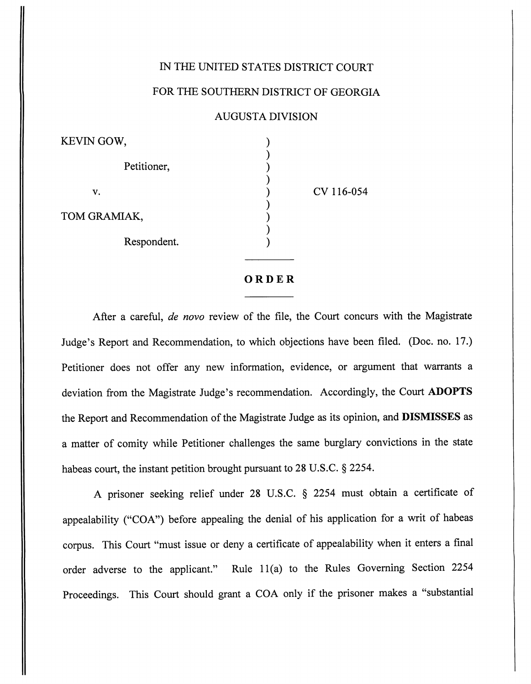## IN THE UNITED STATES DISTRICT COURT

[Gow v. Gramiak](https://dockets.justia.com/docket/georgia/gasdce/1:2016cv00054/69025/) [Doc. 18](https://docs.justia.com/cases/federal/district-courts/georgia/gasdce/1:2016cv00054/69025/18/)

## FOR THE SOUTHERN DISTRICT OF GEORGIA

## AUGUSTA DIVISION

| KEVIN GOW,   |            |
|--------------|------------|
| Petitioner,  |            |
| v.           | CV 116-054 |
| TOM GRAMIAK, |            |
| Respondent.  |            |

## *ORDER*

After a careful, **de novo** review of the file, the Court concurs with the Magistrate Judge's Report and Recommendation, to which objections have been filed. (Doc. no. 17.) Petitioner does not offer any new information, evidence, or argument that warrants a deviation from the Magistrate Judge's recommendation. Accordingly, the Court *ADOPTS* the Report and Recommendation of the Magistrate Judge as its opinion, and *DISMISSES* as a matter of comity while Petitioner challenges the same burglary convictions in the state habeas court, the instant petition brought pursuant to 28 U.S.C. § 2254.

A prisoner seeking relief under 28 U.S.C. § 2254 must obtain a certificate of appealability ("COA") before appealing the denial of his application for a writ of habeas corpus. This Court "must issue or deny a certificate of appealability when it enters a final order adverse to the applicant." Rule 11(a) to the Rules Governing Section 2254 Proceedings. This Court should grant a COA only if the prisoner makes a "substantial

[Dockets.Justia.com](https://dockets.justia.com/)